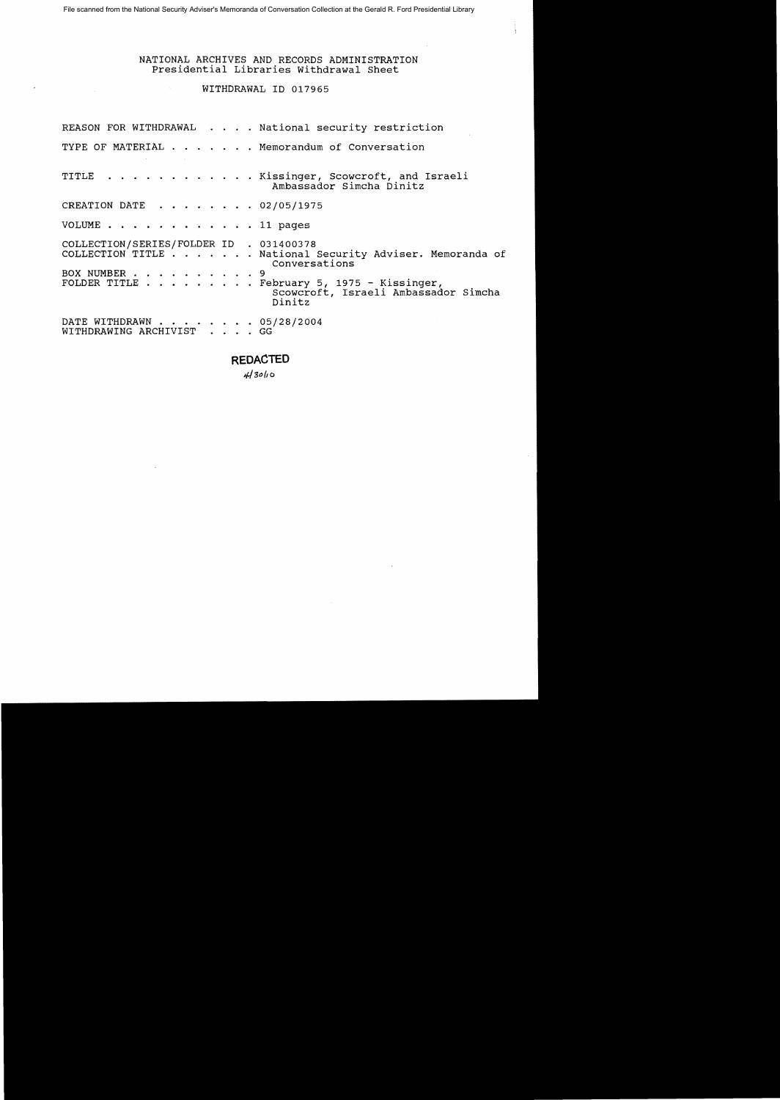## NATIONAL ARCHIVES AND RECORDS ADMINISTRATION Presidential Libraries withdrawal Sheet

## WITHDRAWAL ID 017965

|                                                         |  | REASON FOR WITHDRAWAL National security restriction                                                                                                                       |
|---------------------------------------------------------|--|---------------------------------------------------------------------------------------------------------------------------------------------------------------------------|
|                                                         |  | TYPE OF MATERIAL Memorandum of Conversation                                                                                                                               |
|                                                         |  | TITLE Kissinger, Scowcroft, and Israeli<br>Ambassador Simcha Dinitz                                                                                                       |
| CREATION DATE 02/05/1975                                |  |                                                                                                                                                                           |
| VOLUME 11 pages                                         |  |                                                                                                                                                                           |
| COLLECTION/SERIES/FOLDER ID . 031400378<br>BOX NUMBER 9 |  | COLLECTION TITLE National Security Adviser. Memoranda of<br>Conversations<br>FOLDER TITLE February 5, 1975 - Kissinger,<br>Scowcroft, Israeli Ambassador Simcha<br>Dinitz |
| DATE WITHDRAWN 05/28/2004<br>WITHDRAWING ARCHIVIST GG   |  |                                                                                                                                                                           |

## **REDACTED**

 $413010$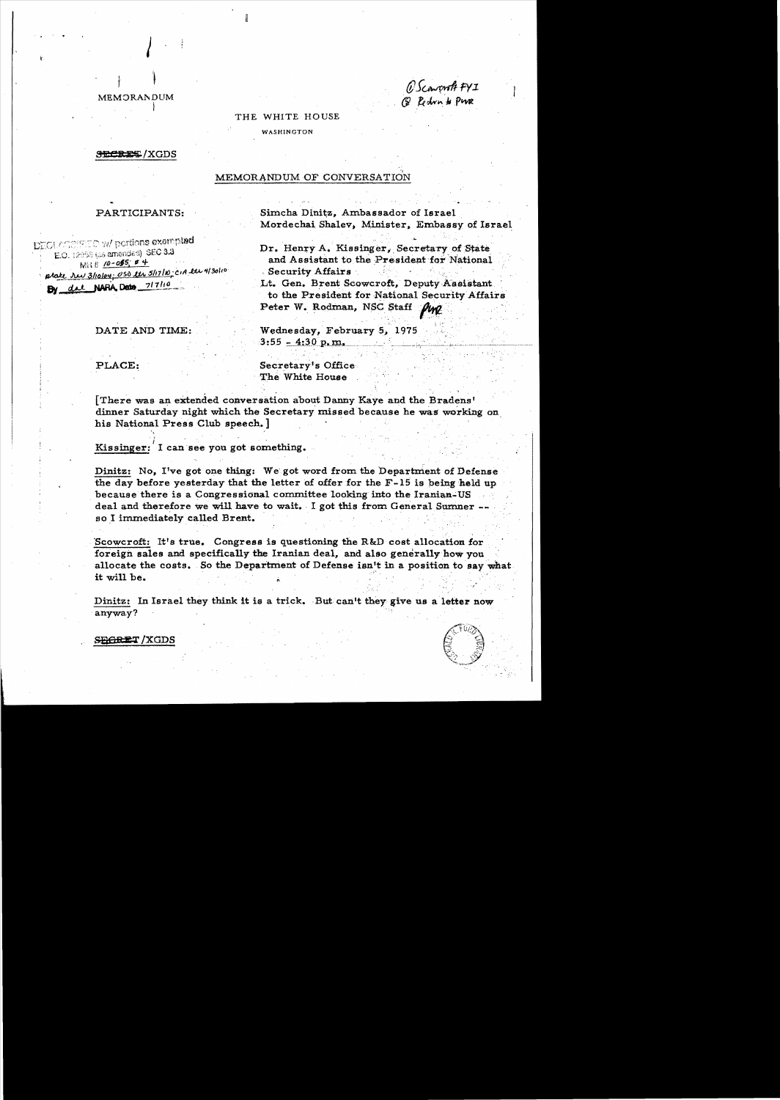#### **MEMORANDUM**

O Scoword FYI<br>@ Redrin to PWR

## THE WHITE HOUSE

WASHINGTON

#### **SECRET/XGDS**

#### MEMORANDUM OF CONVERSATION

#### PARTICIPANTS:

DECLASSIFIED w/ portions exempted E.O. 12959 (as amended) SEC 3.3 Mil # 10-055 # 4 ptate rev 3/10/04; 050 ler 5/17/10; CIA lar 4/30/10 By del NARA Date 717/10

DATE AND TIME:

Simcha Dinitz. Ambassador of Israel Mordechai Shalev, Minister, Embassy of Israel

Dr. Henry A. Kissinger, Secretary of State and Assistant to the President for National Security Affairs

Lt. Gen. Brent Scowcroft, Deputy Assistant to the President for National Security Affairs Peter W. Rodman, NSC Staff Ping

Wednesday, February 5, 1975  $3:55 - 4:30$  p.m.

PLACE:

Secretary's Office The White House

[There was an extended conversation about Danny Kaye and the Bradens' dinner Saturday night which the Secretary missed because he was working on his National Press Club speech.

Kissinger: I can see you got something.

Dinitz: No, I've got one thing: We got word from the Department of Defense the day before yesterday that the letter of offer for the  $F-15$  is being held up because there is a Congressional committee looking into the Iranian-US deal and therefore we will have to wait. I got this from General Sumner -so I immediately called Brent.

Scowcroft: It's true. Congress is questioning the R&D cost allocation for foreign sales and specifically the Iranian deal, and also generally how you allocate the costs. So the Department of Defense isn't in a position to say what it will be.

Dinitz: In Israel they think it is a trick. But can't they give us a letter now anyway?



**SEGRET/XGDS**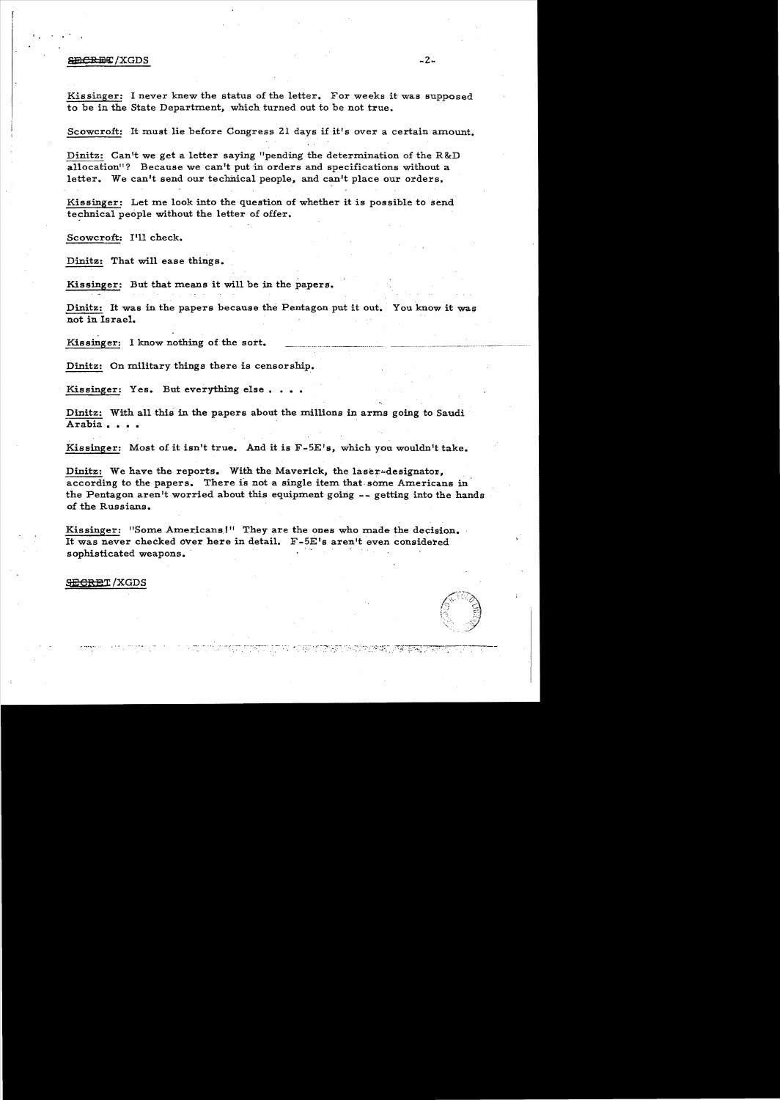#### $\epsilon$ ECRET/XGDS -2.

Kissinger: I never knew the status of the letter. For weeks it was supposed to be in the State Department, which turned out to be not true.

Scowcroft: It must lie before Congress 21 days if it's over a certain amount.

Dinitz: Can't we get a letter saying "pending the determination of the R&D allocation"? Because we can't put in orders and specifications without a letter. We can't send our technical people, and can't place our orders.

Kissinger: Let me look into the question of whether it is possible to send technical people without the letter of offer.

Scowcroft: I'll check.

Dinitz: That will ease things.

Kissinger: But that means it will be in the papers.

Dinitz: It was in the papers because the Pentagon put it out. You know it was not in Israel.

Kissinger: I know nothing of the sort.

Dinitz: On military things there is censorship.

Kissinger: Yes. But everything else....

Dinitz: With all this in the papers about the millions in arms going to Saudi Arabia. • • • .

Kissinger: Most of it isn't true. And it is F-5E's, which you wouldn't take.

Dinitz: We have the reports. With the Maverick, the laser-designator. according to the papers. There is not a single item that some Americans in the Pentagon aren't worried about this equipment going  $-$ - getting into the hands of the Russians.

Kissinger: "Some Americans!" They are the ones who made the decision. It was never checked over here in detail. F-5E's aren't even considered sophisticated weapons.

AT BUNG PART TO THE PUT OF PARTICIP

<del>SECRE</del>T/XGDS

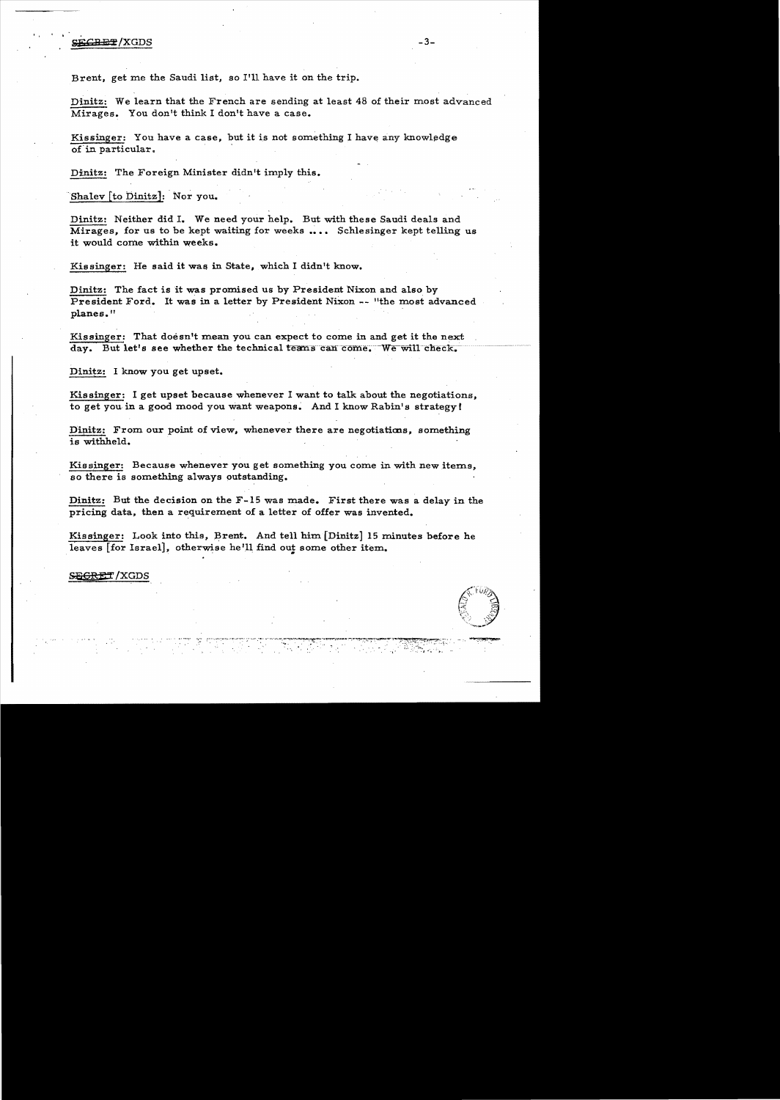## SECRET/XGDS

Brent, get me the Saudi list, so I'll have it on the trip.

Dinitz: We learn that the French are sending at least 48 of their most advanced Mirages. You don't think I don't have a case.

Kissinger: You have a case, but it is not something I have any knowledge of in particular.

Dinitz: The Foreign Minister didn't imply this.

Shalev [to Dinitz]: Nor you.

Dinitz: Neither did I. We need your help. But with these Saudi deals and Mirages. for us to be kept waiting for weeks .... Schlesinger kept telling us it would come within weeks.

Kissinger: He said it was in State, which I didn't know.

Dinitz: The fact is it was promised us by President Nixon and also by President Ford. It was in a letter by President Nixon -- "the most advanced planes."

Kissinger: That doesn't mean you can expect to come in and get it the next day. But let's see whether the technical teams can come. We will check.

Dinitz: I know you get upset.

Kissinger: I get upset because whenever I want to talk about the negotiations. to get you in a good mood you want weapons. And I know Rabin's strategy!

Dinitz: From our point of view, whenever there are negotiations, something is withheld.

Kissinger: Because whenever you get something you come in with new items. so there is something always outstanding.

Dinitz: But the decision on the F-15 was made. First there was a delay in the pricing data, then a requirement of a letter of offer was invented.

Kissinger: Look into this, Brent. And tell him [Dinitz] 15 minutes before he leaves [for Israel], otherwise he'll find out some other item.

S<del>EGRET</del>/XGDS

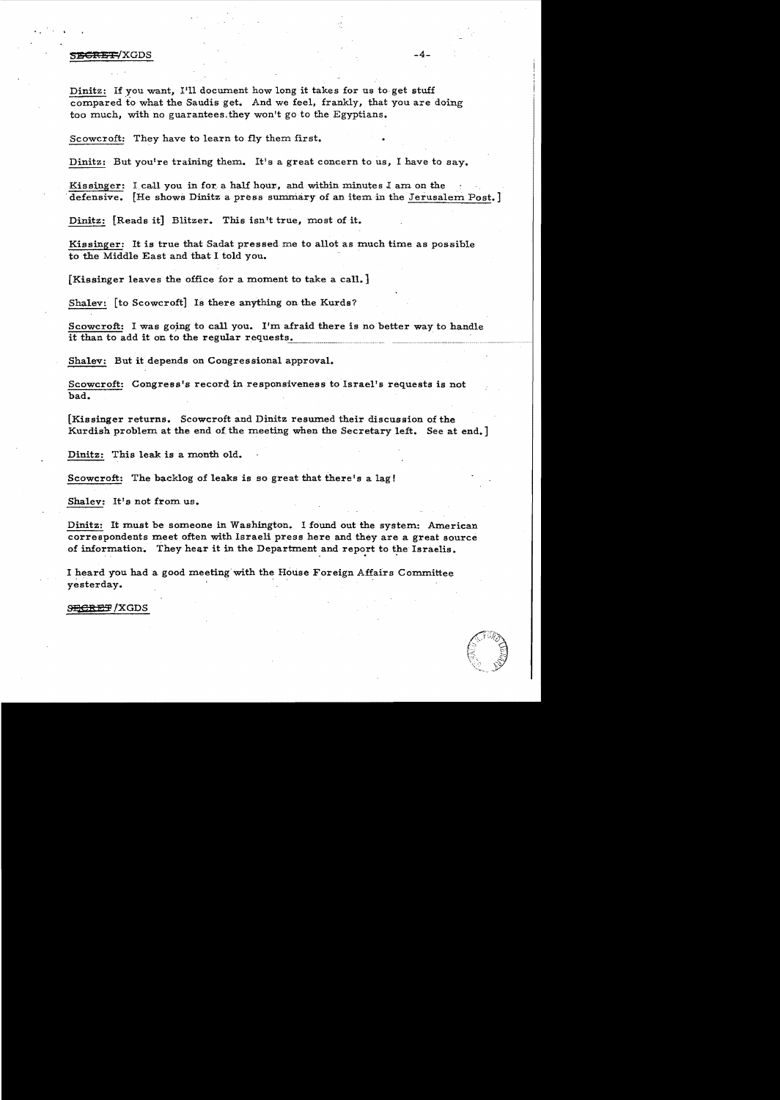### SECRETYXGDS -4-

Dinitz: If you want, I'll document how long it takes for us to get stuff compared to what the Saudis get. And we feel, frankly, that you are doing too much, with no guarantees,they won't go to the Egyptians.

Scowcroft: They have to learn to fly them first.

Dinitz: But you're training them. It's a great concern to us, I have to say.

Kissinger: I, call you in for, a half hour, and within minutes  $I$  am on the defensive. [He shows Dinitz a press summary of an item in the Jerusalem Post.]

Dinitz: [Reads it] Blitzer. This isn't true, most of it.

Kissinger: It is true that Sadat pressed me to allot as much time as possible to the Middle East and that I told you. '

[Kissinger leaves the office for a moment to take a call.]

Shalev: [to Scowcroft] Is there anything on the Kurds?

Scowcroft: I was going to call you. I'm afraid there is no better way to handle it than to add it on to the regular requests.

Shalev: But it depends on Congressional approval.

Scowcroft: Congress's record in responsiveness to Israel's requests is not bad.

[Kissinger returns. Scowcroft and Dinitz resumed their discussion of the Kurdish problem at the end of the meeting when the Secretary left. See at end.

Dinitz: This leak is a month old.

Scowcroft: The backlog of leaks is so great that there's a  $\log$ !

Shalev: It's not from us.

Dinitz: It must be someone in Washington. I found out the system: American correspondents meet often with Israeli press here and they are a great source of information. They hear it in the Department and report to the Israelis. Dinitz: It must be someone in Washington. I found out the system correspondents meet often with Israeli press here and they are of information. They hear it in the Department and report to the I heard you had a good meetin

I heard you had a good meeting'with the House Foreign Affairs Committee

**SECREF / XGDS** 

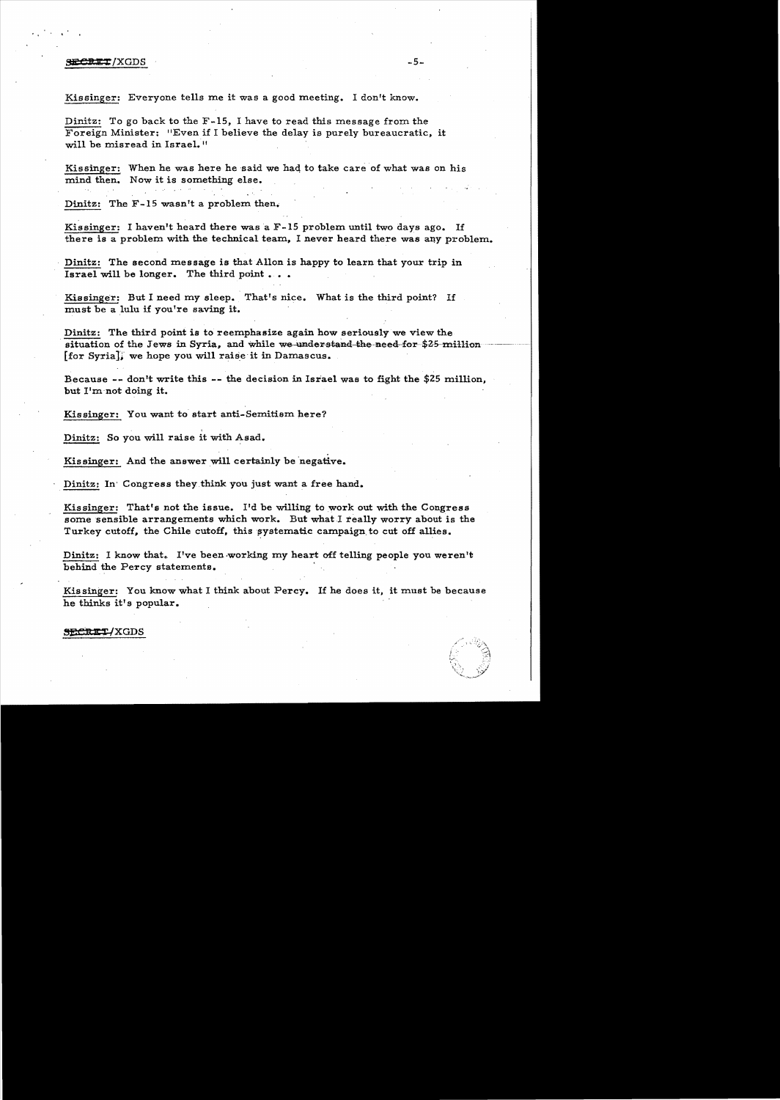## **SECRET**/XGDS -5-

Kissinger: Everyone tells me it was a good meeting. I don't know.

Dinitz: To go back to the F-15, I have to read this message from the Foreign Minister: "Even if I believe the delay is purely bureaucratic, it will be misread in Israel."

Kissinger: When he was here he said we had to take care of what was on his mind then. Now it is something else.

Dinitz: The F-15 wasn't a problem then.

Kissinger: I haven't heard there was a F-15 problem until two days ago. If there is a problem with the technical team, I never heard there was any problem.

Dinitz: The second message is that Allon is happy to learn that your trip in Israel will be longer. The third point  $\ldots$ .

Kissinger: But I need my sleep. That's nice. What is the third point? If must be a lulu if you're saving it.

Dinitz: The third point is to reemphasize again how seriously we view the situation of the Jews in Syria, and while we understand the need-for  $$25$ -million  $[for Syria]$ , we hope you will raise it in Damascus.

Because -- don't write this -- the decision in Israel was to fight the \$25 million, but I'm'not doing it.

Kissinger: You want to start anti-Semitism here?

Dinitz: So you will raise it with Asad.

Kissinger: And the answer will certainly be negative.

Dinitz: In' Congress they think you just want a free hand.

Kissinger: That's not the issue. I'd be willing to work out with the Congress some sensible arrangements which work. But what I really worry about is the Turkey cutoff, the Chile cutoff, this systematic campaign to cut off allies.

Dinitz: I know that. I've been working my heart off telling people you weren't behind the Percy statements. .

Kissinger: You know what I think about Percy. If he does it, it must be because he thinks it's popular.

#### ~CD ltT/XGDS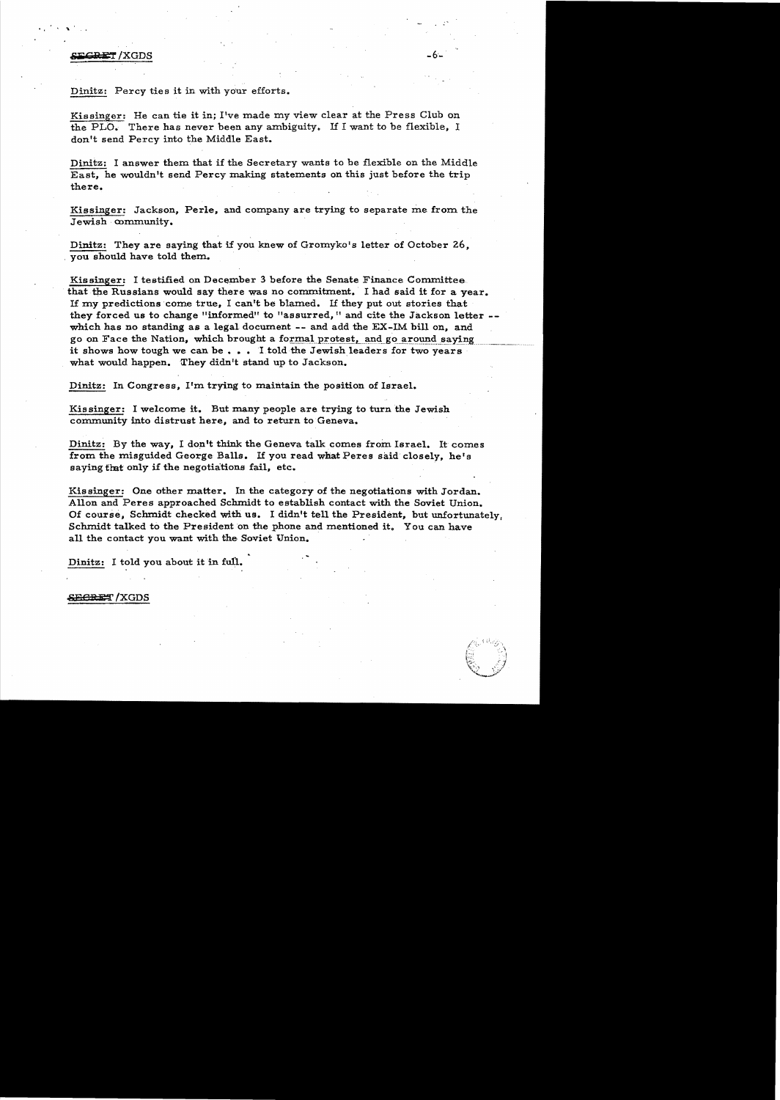# **8iiiCRET /XGDS** ...

. ...

Dinitz: Percy ties it in with your efforts.

Kissinger: He can tie it in; I've made my view clear at the Press Club on the PLO. There has never been any ambiguity. If I want to be flexible, I don't send Percy into the Middle East.

Dinitz: I answer them that if the Secretary wants to be flexible on the Middle East, he wouldn't send Percy making statements on this just before the trip there.

Kissinger: Jackson, Perle, and company are trying to separate me from the Jewish community.

Dinitz: They are saying that if you knew of Gromyko's letter of October 26, . you should have told them.

Kissinger: I testified on December 3 before the Senate Finance Committee. that the Russians would say there was no commitment. I had said it for a year. If my predictions come true, I can't be blamed. If they put out stories that they forced us to change "informed" to "assurred," and cite the Jackson letter -which has no standing as a legal document  $-$ - and add the EX-IM bill on, and go on Face the Nation, which brought a formal protest, and go around saying it shows how tough we can be ... I told the Jewish leaders for two years what would happen. They didn't stand up to Jackson.

Dinitz: In Congress, I'm. trying to maintain the position of Israel.

Kissinger: I welcome it. But many people are trying to turn the Jewish community into distrust here, and to return to Geneva.

Dinitz: By the way, I don't think the Geneva talk comes from Israel. It comes from the misguided George Balls. If you read what Peres said closely, he's saying flat only if the negotiations fail, etc. .

Kissinger: One other matter. In the category of the negotiations with Jordan. Allon and Peres approached Schmidt to establish contact with the Soviet Union. Of course, Schmidt checked with us. I didn't tell the President, but unfortunately, Schmidt talked to the President on the phone and mentioned it. You can have all the contact you want with the Soviet Union.

Dinitz: I told you about it in full.

**SECRET / XGDS** 

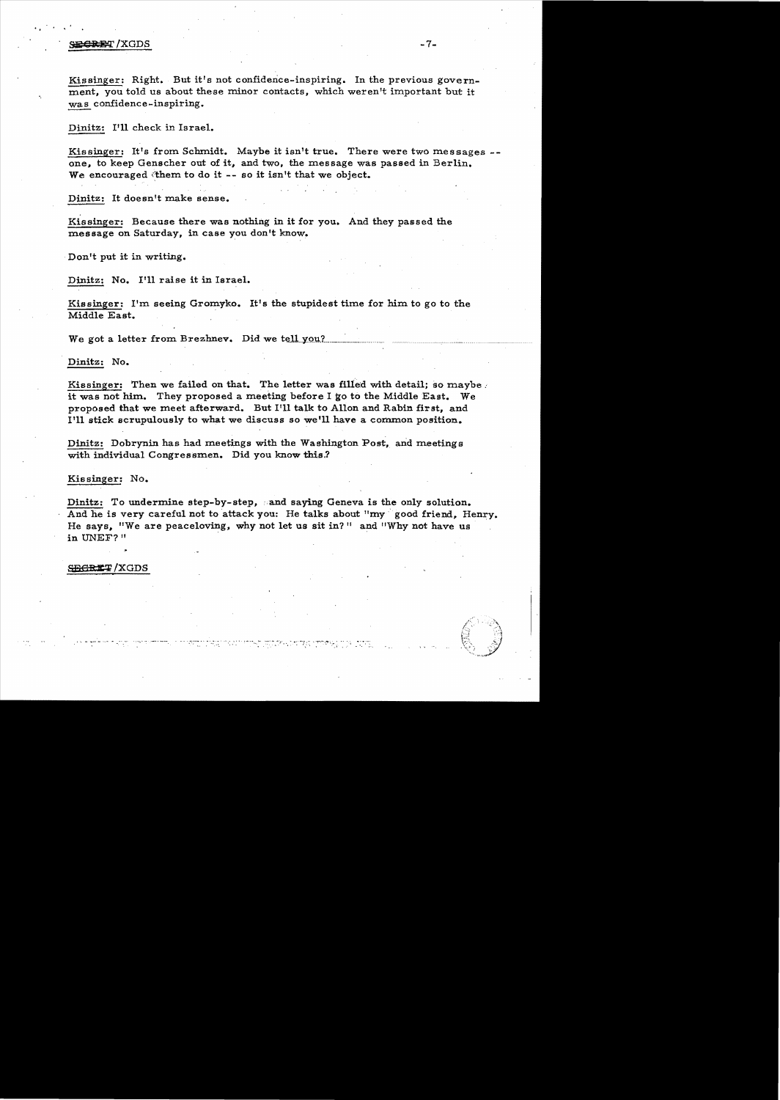## $\epsilon$  . Since the side of the side of the side of the side of the side of the side of the side of the side of the side of the side of the side of the side of the side of the side of the side of the side of the side of the

..

Kissinger: Right. But it's not confidence-inspiring. In the previous government, you told us about these minor contacts, which weren't important but it was confidence-inspiring.

Dinitz: I'll check in Israel.

Kissinger: It's from Schmidt. Maybe it isn't true. There were two messages -one, to keep Genscher out of it, and two, the message was passed in Berlin. We encouraged them to do it -- so it isn't that we object.

Dinitz: It doesn't make sense.

Kissinger: Because there was nothing in it for you. And they passed the message on Saturday, in case you don't know•

.Don't put it in writing.

Dinitz: No. I'll raise it in Israel.

Kissinger: I'm seeing Gromyko. It's the stupidest time for him to go to the Middle East.

We got a letter from Brezhnev. Did we tell you?

Dinitz: No.

Kissinger: Then we failed on that. The letter was filled with detail; so maybe *i* it was not him. They proposed a meeting before I go to the Middle East. We proposed that we meet afterward. But I'll talk to A110n and Rabin first, and I'll stick scrupulously to what we discuss so we'll have a common position.

Dinitz: Dobrynin has had meetings with the Washington Post, and meetings with individual Congressmen. Did you know this.?

م المواقع المعرفي المواقع المستقل المواقع المستقل المستقلة المستقلة المستقلة المستقلة المستقلة المستقلة المستق<br>ولي المستقلة المستقلة المستقلة المستقلية المستقلة المستقلة المستقلة المستقلة المستقلة المستقلة المستقلة المستق

Kissinger: No.

Dinitz: To undermine step-by-step, and saying Geneva is the only solution. And he is very careful not to attack you: He talks about "my good friend, Henry. He says, "We are peaceloving, why not let us sit in?" and "Why not have us in UNEF?"

SEGRET/XGDS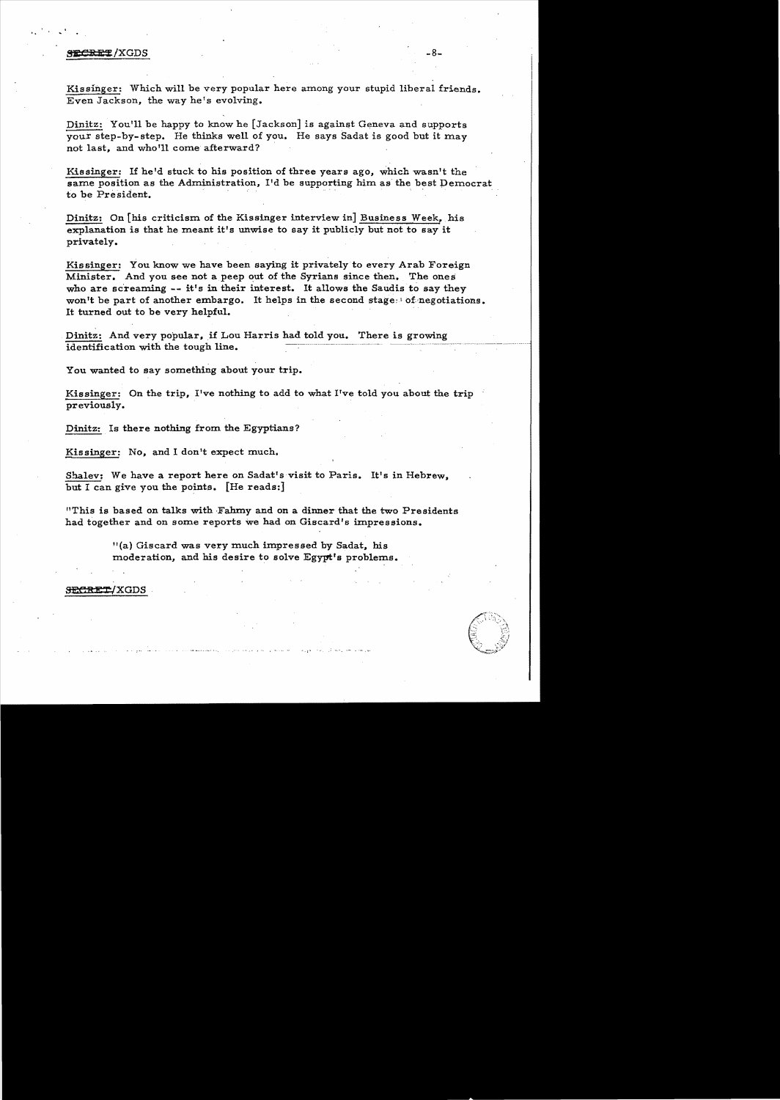## enterpretations of the second second second second second second second second second second second second second second second second second second second second second second second second second second second second sec

'.

Kissinger: Which will be very popular here among your stupid liberal friends. Even Jackson, the way he's evolving.

Dinitz: You'll be happy to know he [Jackson] is against Geneva and supports your step-by-step. He thinks well of you. He says Sadat is good but it may not last, and who'll come afterward? .

Kissinger: If he'd stuck to his position of three years ago, which wasn't the same position as the Administration, I'd be supporting him as the best Democrat to be President.

Dinitz: On [his criticism of the Kissinger interview in] Business Week, his explanation is that he meant it's unwise to say it publicly but not to say it privately.

Kissinger: You know we have been saying it privately to every Arab Foreign Minister. And you see not a peep out of the Syrians since then. The ones who are screaming  $-$ - it's in their interest. It allows the Saudis to say they won't be part of another embargo. It helps in the second stage:! of.negotiations. It turned out to be very helpful.

Dinitz: And very popular, if Lou Harris had told you. There is growing identification with the tough line.

You wanted to say something about your trip.

Kissinger: On the trip, I've nothing to add to what I've told you about the trip previously.

Dinitz: Is there nothing from the Egyptians?

Kissinger: No, and I don't expect much.

Shalev; We have a report here on Sadat's visit to Paris. It's in Hebrew. but I can give you the points. [He reads:]

"This is based on talks with 'Fahmy and on a dinner that the two Presidents had together and on some reports we had on Giscard's impressions.

> "(a) Giscard was very much impressed by Sadat. his moderation, and his desire to solve Egypt's problems.

 $1$  $\times$ GDS  $^{-1}$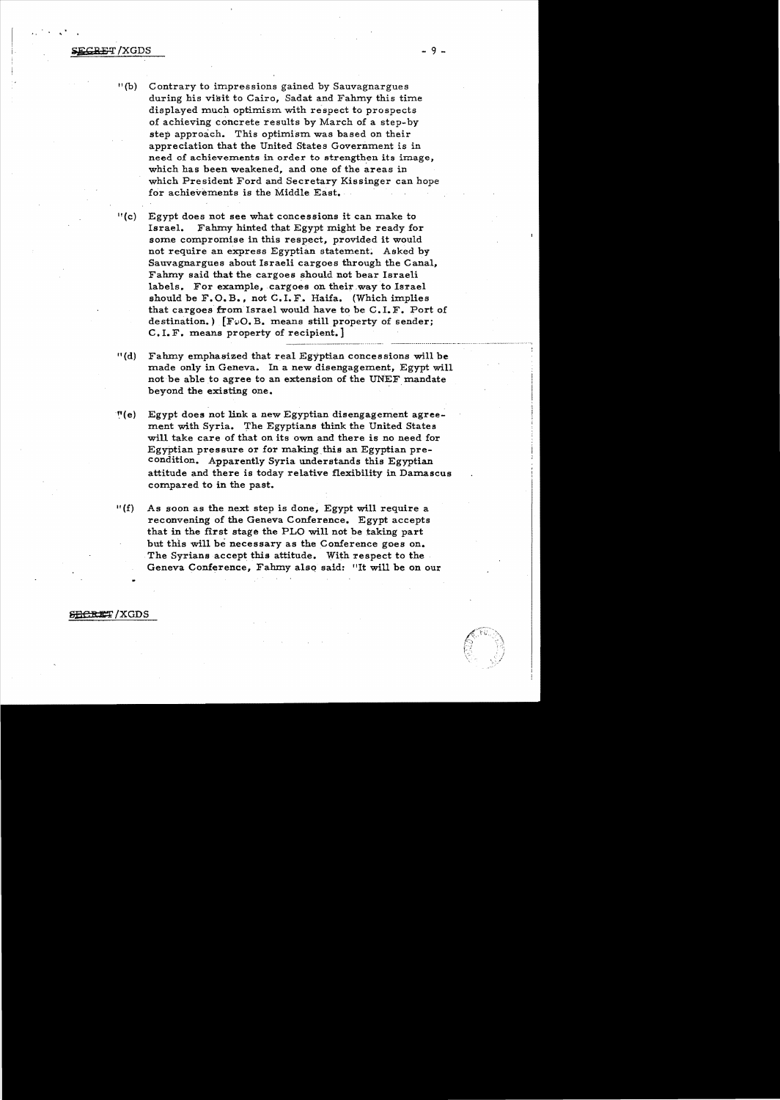- II (b) Contrary to impressions gained by Sauvagnargues during his visit to Cairo, Sadat and Fahmy this time displayed much optimism with respect to prospects of achieving concrete results by March of a step-by step approach. This optimism was based on their appreciation that the United States Government is in need of achievements in order to strengthen its image, which has been weakened, and one of the areas in which President Ford and Secretary Kissinger can hope for achievements is the Middle East.
- II(C) Egypt does not see what concessions it can make to Israel. Fahmy hinted that Egypt might be ready for some compromise in this respect, provided it would not require an express Egyptian statement. Asked by Sauvagnargues about Israeli cargoes through the Canal, Fahmy said that the cargoes should not bear Israeli labels. For example, cargoes on their way to Israel should be  $F. O. B.$ , not  $C. I. F.$  Haifa. (Which implies that cargoes from Israel would have to be C. I. F. Port of destination.)  $[FeO, B.$  means still property of sender; C. I. F. means property of recipient.]
- II (d) Fahmy emphasized that real Egyptian concessions will be made only in Geneva. In a new disengagement, Egypt will not be able to agree to an extension of the UNEF mandate beyond the existing one. .
- ~I(e) Egypt does not link a new Egyptian disengagement agreement with Syria. The Egyptians think the United States will take care of that on its own and there is no need for Egyptian pressure or for making.this an Egyptian precondition. Apparently Syria understands this Egyptian attitude and there is today relative flexibility in Damascus compared to in the past.
- $I(f)$  As soon as the next step is done, Egypt will require a reconvening of the Geneva Conference. Egypt accepts that in the first stage the PLO will not be taking part but this will be necessary as the Conference goes on. The Syrians accept this attitude. With respect to the Geneva Conference, Fahmy also said: "It will be on our

SECRET/XGDS

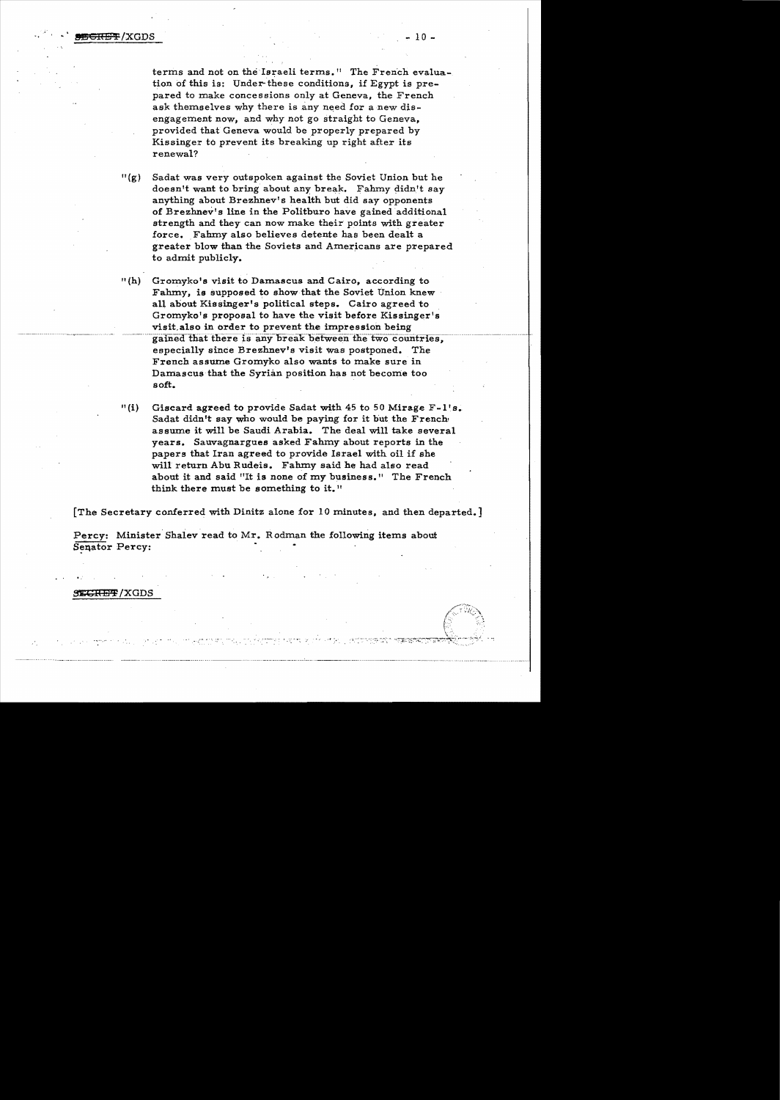terms and not on the Israeli terms." The French evaluation of this is: Under these conditions, if Egypt is prepared to make concessions only at Geneva, the French ask themselves why there is any need for a new disengagement now, and why not go straight to Geneva. provided that Geneva would be properly prepared by Kissinger to prevent its breaking up right after its renewal?

 $''(g)$  Sadat was very outspoken against the Soviet Union but he doesn't want to bring about any break. Fahmy didn't say anything about Brezhnev's health but did say opponents of Brezhnev's line in the Politburo have gained additional strength and they can now make their points with greater force. Fahmy also believes detente has been dealt a greater blow than the Soviets and Americans are prepared to admit publicly.

 $^{\prime\prime}$  (h) Gromyko's visit to Damascus and Cairo, according to Fahmy, is supposed to show that the Soviet Union knew all about Kissinger's political steps. Cairo agreed to Gromyko's proposal to have the visit before Kissinger's visit also in order to prevent the impression being gained that there is any break between the two countries, especially since Brezhnev's visit was postponed. The French assume Gromyko also wants to make sure in Damascus that the Syrian position has not become too soft.

 $"(i)$ Giscard agreed to provide Sadat with 45 to 50 Mirage F-1's. Sadat didn't say who would be paying for it but the French assume it will be Saudi Arabia. The deal will take several years. Sauvagnargues asked Fahmy about reports in the papers that Iran agreed to provide Israel with oil if she will return Abu Rudeis. Fahmy said he had also read about it and said "It is none of my business." The French think there must be something to it."

[The Secretary conferred with Dinitz alone for 10 minutes, and then departed.]

Percy: Minister Shalev read to Mr. Rodman the following items about Senator Percy:

**SECRET/XGDS**